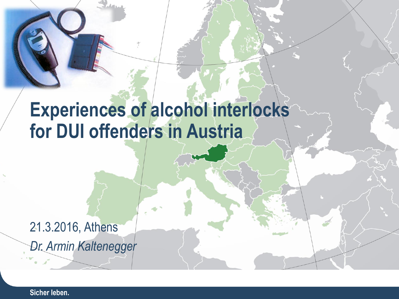# **Experiences of alcohol interlocks for DUI offenders in Austria**

#### 21.3.2016, Athens *Dr. Armin Kaltenegger*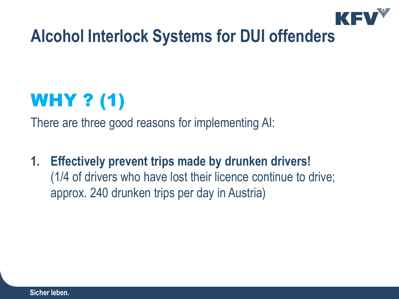

## WHY ? (1)

There are three good reasons for implementing AI:

**1. Effectively prevent trips made by drunken drivers!** (1/4 of drivers who have lost their licence continue to drive; approx. 240 drunken trips per day in Austria)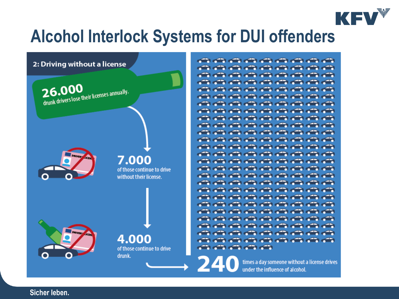

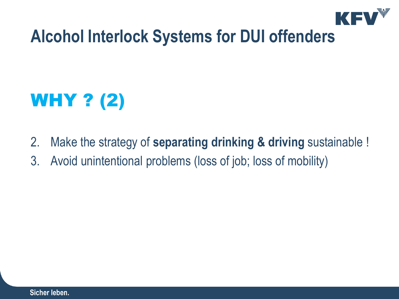

# WHY ? (2)

- 2. Make the strategy of **separating drinking & driving** sustainable !
- 3. Avoid unintentional problems (loss of job; loss of mobility)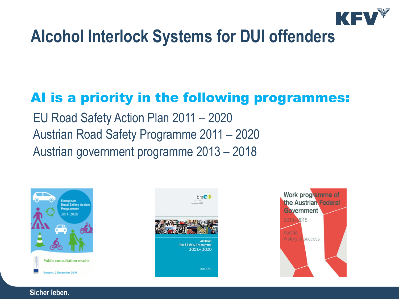

#### AI is a priority in the following programmes:

EU Road Safety Action Plan 2011 – 2020 Austrian Road Safety Programme 2011 – 2020 Austrian government programme 2013 – 2018





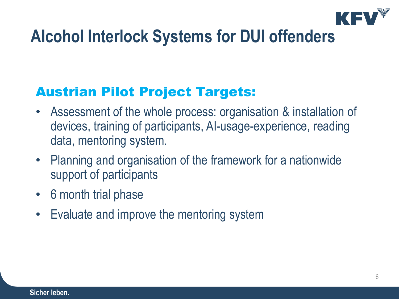

#### Austrian Pilot Project Targets:

- Assessment of the whole process: organisation & installation of devices, training of participants, AI-usage-experience, reading data, mentoring system.
- Planning and organisation of the framework for a nationwide support of participants
- 6 month trial phase
- Evaluate and improve the mentoring system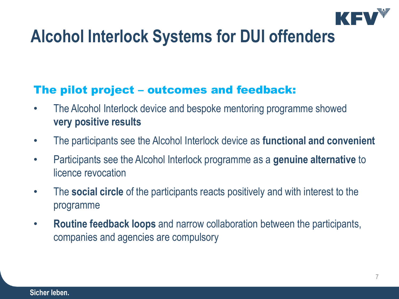

#### The pilot project – outcomes and feedback:

- The Alcohol Interlock device and bespoke mentoring programme showed **very positive results**
- The participants see the Alcohol Interlock device as **functional and convenient**
- Participants see the Alcohol Interlock programme as a **genuine alternative** to licence revocation
- The **social circle** of the participants reacts positively and with interest to the programme
- **Routine feedback loops** and narrow collaboration between the participants, companies and agencies are compulsory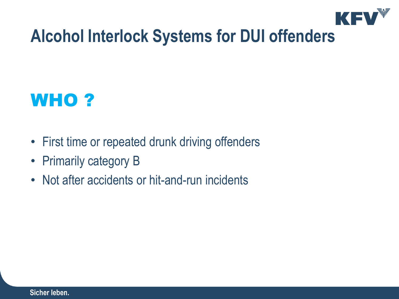

### WHO ?

- First time or repeated drunk driving offenders
- Primarily category B
- Not after accidents or hit-and-run incidents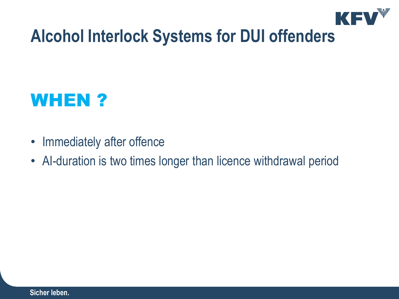

#### WHEN ?

- Immediately after offence
- AI-duration is two times longer than licence withdrawal period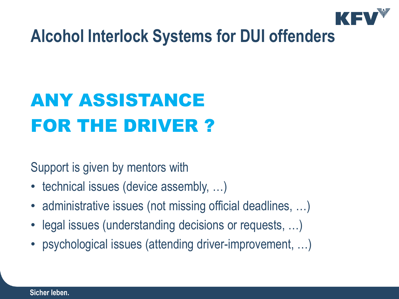

# ANY ASSISTANCE FOR THE DRIVER ?

Support is given by mentors with

- technical issues (device assembly, ...)
- administrative issues (not missing official deadlines, ...)
- legal issues (understanding decisions or requests, …)
- psychological issues (attending driver-improvement, …)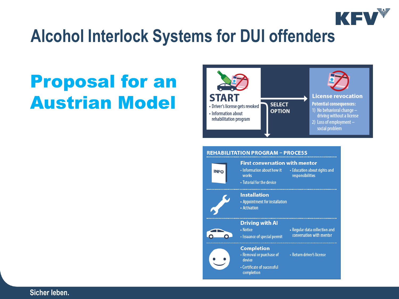

## Proposal for an Austrian Model





• Removal or purchase of • Return driver's license

• Certificate of successful completion

**Completion** 

device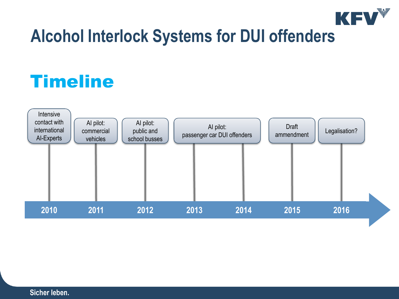

## **Timeline**

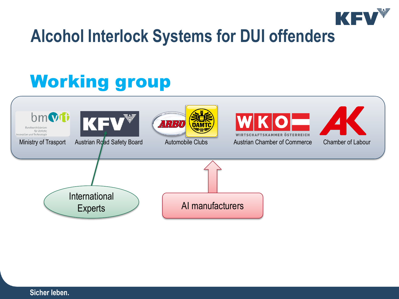

## Working group